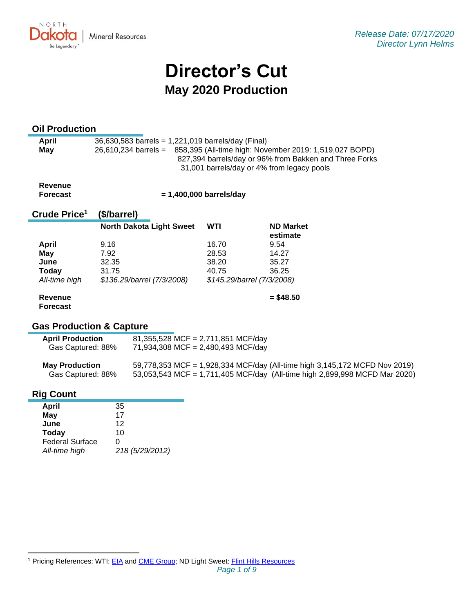NORTH UKV. **Mineral Resources** Be Legendary.

# **Director's Cut May 2020 Production**

# **Oil Production**

| April | $36,630,583$ barrels = 1,221,019 barrels/day (Final)                        |  |  |
|-------|-----------------------------------------------------------------------------|--|--|
| May   | 26,610,234 barrels = 858,395 (All-time high: November 2019: 1,519,027 BOPD) |  |  |
|       | 827,394 barrels/day or 96% from Bakken and Three Forks                      |  |  |
|       | 31,001 barrels/day or 4% from legacy pools                                  |  |  |

**Revenue Forecast**

 **= 1,400,000 barrels/day**

#### **Crude Price 1 (\$/barrel)**

|               | <b>North Dakota Light Sweet</b> | WTI   | <b>ND Market</b><br>estimate |
|---------------|---------------------------------|-------|------------------------------|
| <b>April</b>  | 9.16                            | 16.70 | 9.54                         |
| <b>May</b>    | 7.92                            | 28.53 | 14.27                        |
| June          | 32.35                           | 38.20 | 35.27                        |
| Today         | 31.75                           | 40.75 | 36.25                        |
| All-time high | \$136.29/barrel (7/3/2008)      |       | \$145.29/barrel (7/3/2008)   |
| Revenue       |                                 |       | $=$ \$48.50                  |

# **Gas Production & Capture**

| <b>April Production</b> | $81,355,528$ MCF = 2,711,851 MCF/day |
|-------------------------|--------------------------------------|
| Gas Captured: 88%       | 71,934,308 MCF = 2,480,493 MCF/day   |

| <b>May Production</b> | 59,778,353 MCF = 1,928,334 MCF/day (All-time high 3,145,172 MCFD Nov 2019) |
|-----------------------|----------------------------------------------------------------------------|
| Gas Captured: 88%     | 53,053,543 MCF = 1,711,405 MCF/day (All-time high 2,899,998 MCFD Mar 2020) |

# **Rig Count**

**Forecast**

| April                  | 35              |
|------------------------|-----------------|
| May                    | 17              |
| June                   | 12              |
| Today                  | 10              |
| <b>Federal Surface</b> | 0               |
| All-time high          | 218 (5/29/2012) |

<sup>&</sup>lt;sup>1</sup> Pricing References: WTI: [EIA](https://www.eia.gov/dnav/pet/hist/LeafHandler.ashx?n=PET&s=RCLC1&f=M) and [CME Group;](https://www.cmegroup.com/trading/energy/crude-oil/light-sweet-crude.html) ND Light Sweet: [Flint Hills Resources](https://www.fhr.com/products-services/fuels-and-aromatics)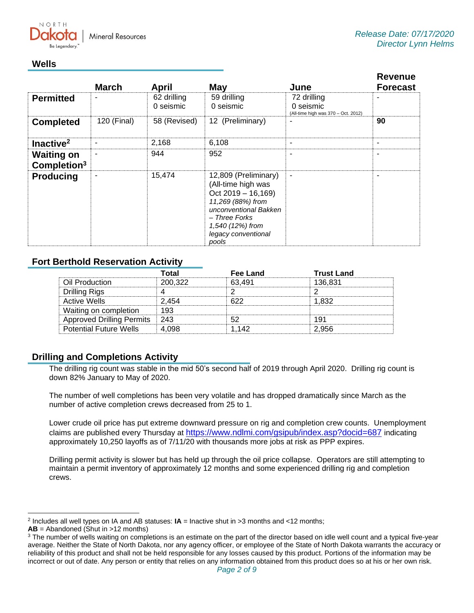

# **Wells**

|                                              | <b>March</b> | April                    | <b>May</b>                                                                                                                                                                            | June                                                            | <b>Revenue</b><br><b>Forecast</b> |
|----------------------------------------------|--------------|--------------------------|---------------------------------------------------------------------------------------------------------------------------------------------------------------------------------------|-----------------------------------------------------------------|-----------------------------------|
| <b>Permitted</b>                             |              | 62 drilling<br>0 seismic | 59 drilling<br>0 seismic                                                                                                                                                              | 72 drilling<br>0 seismic<br>(All-time high was 370 - Oct. 2012) |                                   |
| <b>Completed</b>                             | 120 (Final)  | 58 (Revised)             | 12 (Preliminary)                                                                                                                                                                      |                                                                 | 90                                |
| Inactive <sup>2</sup>                        |              | 2,168                    | 6,108                                                                                                                                                                                 | ٠                                                               | ۰                                 |
| <b>Waiting on</b><br>Completion <sup>3</sup> |              | 944                      | 952                                                                                                                                                                                   | ۰                                                               |                                   |
| <b>Producing</b>                             |              | 15,474                   | 12,809 (Preliminary)<br>(All-time high was<br>$Oct 2019 - 16,169)$<br>11,269 (88%) from<br>unconventional Bakken<br>- Three Forks<br>1,540 (12%) from<br>legacy conventional<br>pools | $\blacksquare$                                                  |                                   |

# **Fort Berthold Reservation Activity**

|                                  | Total   | Fee Land | <b>Trust Land</b> |
|----------------------------------|---------|----------|-------------------|
| Oil Production                   | 200,322 | 63.491   | 136,831           |
| Drilling Rigs                    |         |          |                   |
| <b>Active Wells</b>              | 2.454   | 622      | 1.832             |
| Waiting on completion            | 193     |          |                   |
| <b>Approved Drilling Permits</b> | -243    |          | 191               |
| <b>Potential Future Wells</b>    | 4.098   | 1.142    | 2.956             |

# **Drilling and Completions Activity**

The drilling rig count was stable in the mid 50's second half of 2019 through April 2020. Drilling rig count is down 82% January to May of 2020.

The number of well completions has been very volatile and has dropped dramatically since March as the number of active completion crews decreased from 25 to 1.

Lower crude oil price has put extreme downward pressure on rig and completion crew counts. Unemployment claims are published every Thursday at <https://www.ndlmi.com/gsipub/index.asp?docid=687> indicating approximately 10,250 layoffs as of 7/11/20 with thousands more jobs at risk as PPP expires.

Drilling permit activity is slower but has held up through the oil price collapse. Operators are still attempting to maintain a permit inventory of approximately 12 months and some experienced drilling rig and completion crews.

<sup>2</sup> Includes all well types on IA and AB statuses: **IA** = Inactive shut in >3 months and <12 months;

**AB** = Abandoned (Shut in >12 months)

<sup>&</sup>lt;sup>3</sup> The number of wells waiting on completions is an estimate on the part of the director based on idle well count and a typical five-year average. Neither the State of North Dakota, nor any agency officer, or employee of the State of North Dakota warrants the accuracy or reliability of this product and shall not be held responsible for any losses caused by this product. Portions of the information may be incorrect or out of date. Any person or entity that relies on any information obtained from this product does so at his or her own risk.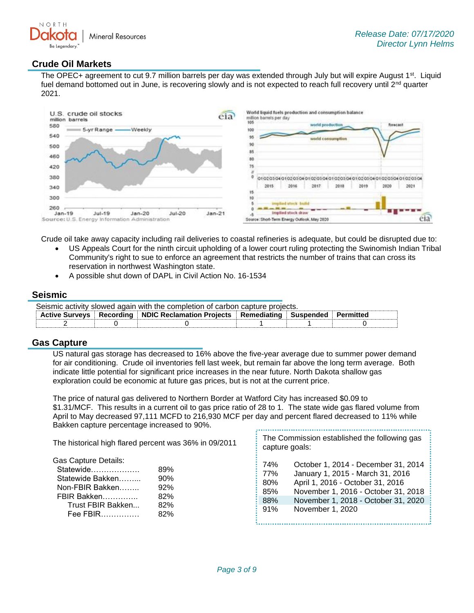

### **Crude Oil Markets**

The OPEC+ agreement to cut 9.7 million barrels per day was extended through July but will expire August 1<sup>st</sup>. Liquid fuel demand bottomed out in June, is recovering slowly and is not expected to reach full recovery until 2<sup>nd</sup> quarter 2021.



Crude oil take away capacity including rail deliveries to coastal refineries is adequate, but could be disrupted due to:

- US Appeals Court for the ninth circuit upholding of a lower court ruling protecting the Swinomish Indian Tribal Community's right to sue to enforce an agreement that restricts the number of trains that can cross its reservation in northwest Washington state.
- A possible shut down of DAPL in Civil Action No. 16-1534

#### **Seismic**

| Seismic activity slowed again with the completion of carbon capture projects. |  |                                                                                              |  |  |  |
|-------------------------------------------------------------------------------|--|----------------------------------------------------------------------------------------------|--|--|--|
|                                                                               |  | Active Surveys   Recording   NDIC Reclamation Projects   Remediating   Suspended   Permitted |  |  |  |
|                                                                               |  |                                                                                              |  |  |  |

#### **Gas Capture**

US natural gas storage has decreased to 16% above the five-year average due to summer power demand for air conditioning. Crude oil inventories fell last week, but remain far above the long term average. Both indicate little potential for significant price increases in the near future. North Dakota shallow gas exploration could be economic at future gas prices, but is not at the current price.

The price of natural gas delivered to Northern Border at Watford City has increased \$0.09 to \$1.31/MCF. This results in a current oil to gas price ratio of 28 to 1. The state wide gas flared volume from April to May decreased 97,111 MCFD to 216,930 MCF per day and percent flared decreased to 11% while Bakken capture percentage increased to 90%.

| The historical high flared percent was 36% in 09/2011                                                                                                                     | The Commission established the following gas<br>capture goals:                                                                                                                                                                                          |
|---------------------------------------------------------------------------------------------------------------------------------------------------------------------------|---------------------------------------------------------------------------------------------------------------------------------------------------------------------------------------------------------------------------------------------------------|
| <b>Gas Capture Details:</b><br>Statewide<br>89%<br>90%<br>Statewide Bakken<br>Non-FBIR Bakken<br>92%<br>FBIR Bakken<br>82%<br>Trust FBIR Bakken<br>82%<br>Fee FBIR<br>82% | October 1, 2014 - December 31, 2014<br>74%<br>January 1, 2015 - March 31, 2016<br>77%<br>April 1, 2016 - October 31, 2016<br>80%<br>November 1, 2016 - October 31, 2018<br>85%<br>November 1, 2018 - October 31, 2020<br>88%<br>91%<br>November 1, 2020 |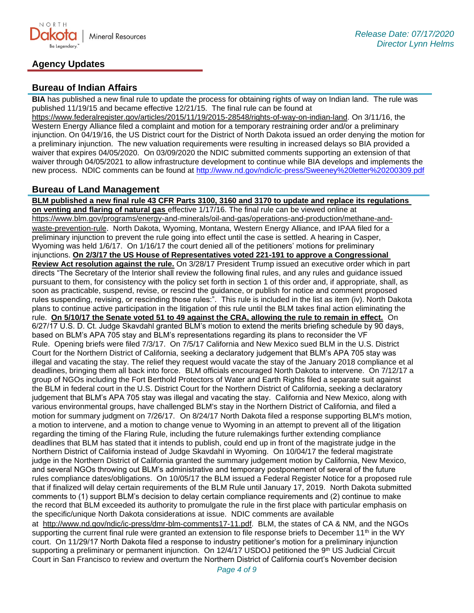

# **Agency Updates**

## **Bureau of Indian Affairs**

**BIA** has published a new final rule to update the process for obtaining rights of way on Indian land. The rule was published 11/19/15 and became effective 12/21/15. The final rule can be found at

[https://www.federalregister.gov/articles/2015/11/19/2015-28548/rights-of-way-on-indian-land.](https://www.federalregister.gov/articles/2015/11/19/2015-28548/rights-of-way-on-indian-land) On 3/11/16, the Western Energy Alliance filed a complaint and motion for a temporary restraining order and/or a preliminary injunction. On 04/19/16, the US District court for the District of North Dakota issued an order denying the motion for a preliminary injunction. The new valuation requirements were resulting in increased delays so BIA provided a waiver that expires 04/05/2020. On 03/09/2020 the NDIC submitted comments supporting an extension of that waiver through 04/05/2021 to allow infrastructure development to continue while BIA develops and implements the new process. NDIC comments can be found at<http://www.nd.gov/ndic/ic-press/Sweeney%20letter%20200309.pdf>

### **Bureau of Land Management**

**BLM published a new final rule 43 CFR Parts 3100, 3160 and 3170 to update and replace its regulations on venting and flaring of natural gas** effective 1/17/16. The final rule can be viewed online at [https://www.blm.gov/programs/energy-and-minerals/oil-and-gas/operations-and-production/methane-and](https://www.blm.gov/programs/energy-and-minerals/oil-and-gas/operations-and-production/methane-and-waste-prevention-rule)[waste-prevention-rule](https://www.blm.gov/programs/energy-and-minerals/oil-and-gas/operations-and-production/methane-and-waste-prevention-rule). North Dakota, Wyoming, Montana, Western Energy Alliance, and IPAA filed for a preliminary injunction to prevent the rule going into effect until the case is settled. A hearing in Casper, Wyoming was held 1/6/17. On 1/16/17 the court denied all of the petitioners' motions for preliminary injunctions. **On 2/3/17 the US House of Representatives voted 221-191 to approve a Congressional Review Act resolution against the rule.** On 3/28/17 President Trump issued an executive order which in part directs "The Secretary of the Interior shall review the following final rules, and any rules and guidance issued pursuant to them, for consistency with the policy set forth in section 1 of this order and, if appropriate, shall, as soon as practicable, suspend, revise, or rescind the guidance, or publish for notice and comment proposed rules suspending, revising, or rescinding those rules:". This rule is included in the list as item (iv). North Dakota plans to continue active participation in the litigation of this rule until the BLM takes final action eliminating the rule. **On 5/10/17 the Senate voted 51 to 49 against the CRA, allowing the rule to remain in effect.** On 6/27/17 U.S. D. Ct. Judge Skavdahl granted BLM's motion to extend the merits briefing schedule by 90 days, based on BLM's APA 705 stay and BLM's representations regarding its plans to reconsider the VF Rule. Opening briefs were filed 7/3/17. On 7/5/17 California and New Mexico sued BLM in the U.S. District Court for the Northern District of California, seeking a declaratory judgement that BLM's APA 705 stay was illegal and vacating the stay. The relief they request would vacate the stay of the January 2018 compliance et al deadlines, bringing them all back into force. BLM officials encouraged North Dakota to intervene. On 7/12/17 a group of NGOs including the Fort Berthold Protectors of Water and Earth Rights filed a separate suit against the BLM in federal court in the U.S. District Court for the Northern District of California, seeking a declaratory judgement that BLM's APA 705 stay was illegal and vacating the stay. California and New Mexico, along with various environmental groups, have challenged BLM's stay in the Northern District of California, and filed a motion for summary judgment on 7/26/17. On 8/24/17 North Dakota filed a response supporting BLM's motion, a motion to intervene, and a motion to change venue to Wyoming in an attempt to prevent all of the litigation regarding the timing of the Flaring Rule, including the future rulemakings further extending compliance deadlines that BLM has stated that it intends to publish, could end up in front of the magistrate judge in the Northern District of California instead of Judge Skavdahl in Wyoming. On 10/04/17 the federal magistrate judge in the Northern District of California granted the summary judgement motion by California, New Mexico, and several NGOs throwing out BLM's administrative and temporary postponement of several of the future rules compliance dates/obligations. On 10/05/17 the BLM issued a Federal Register Notice for a proposed rule that if finalized will delay certain requirements of the BLM Rule until January 17, 2019. North Dakota submitted comments to (1) support BLM's decision to delay certain compliance requirements and (2) continue to make the record that BLM exceeded its authority to promulgate the rule in the first place with particular emphasis on the specific/unique North Dakota considerations at issue. NDIC comments are available at [http://www.nd.gov/ndic/ic-press/dmr-blm-comments17-11.pdf.](http://www.nd.gov/ndic/ic-press/dmr-blm-comments17-11.pdf) BLM, the states of CA & NM, and the NGOs supporting the current final rule were granted an extension to file response briefs to December 11<sup>th</sup> in the WY

court. On 11/29/17 North Dakota filed a response to industry petitioner's motion for a preliminary injunction supporting a preliminary or permanent injunction. On 12/4/17 USDOJ petitioned the 9th US Judicial Circuit Court in San Francisco to review and overturn the Northern District of California court's November decision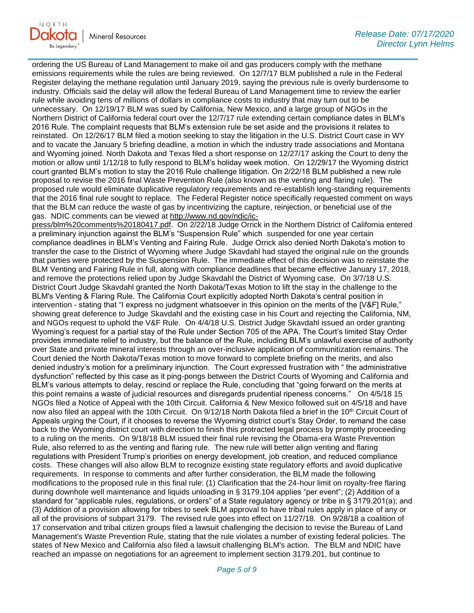

ordering the US Bureau of Land Management to make oil and gas producers comply with the methane emissions requirements while the rules are being reviewed. On 12/7/17 BLM published a rule in the Federal Register delaying the methane regulation until January 2019, saying the previous rule is overly burdensome to industry. Officials said the delay will allow the federal Bureau of Land Management time to review the earlier rule while avoiding tens of millions of dollars in compliance costs to industry that may turn out to be unnecessary. On 12/19/17 BLM was sued by California, New Mexico, and a large group of NGOs in the Northern District of California federal court over the 12/7/17 rule extending certain compliance dates in BLM's 2016 Rule. The complaint requests that BLM's extension rule be set aside and the provisions it relates to reinstated. On 12/26/17 BLM filed a motion seeking to stay the litigation in the U.S. District Court case in WY and to vacate the January 5 briefing deadline, a motion in which the industry trade associations and Montana and Wyoming joined. North Dakota and Texas filed a short response on 12/27/17 asking the Court to deny the motion or allow until 1/12/18 to fully respond to BLM's holiday week motion. On 12/29/17 the Wyoming district court granted BLM's motion to stay the 2016 Rule challenge litigation. On 2/22/18 BLM published a new rule proposal to revise the 2016 final Waste Prevention Rule (also known as the venting and flaring rule). The proposed rule would eliminate duplicative regulatory requirements and re-establish long-standing requirements that the 2016 final rule sought to replace. The Federal Register notice specifically requested comment on ways that the BLM can reduce the waste of gas by incentivizing the capture, reinjection, or beneficial use of the gas. NDIC comments can be viewed at [http://www.nd.gov/ndic/ic-](http://www.nd.gov/ndic/ic-press/blm%20comments%20180417.pdf)

[press/blm%20comments%20180417.pdf.](http://www.nd.gov/ndic/ic-press/blm%20comments%20180417.pdf) On 2/22/18 Judge Orrick in the Northern District of California entered a preliminary injunction against the BLM's "Suspension Rule" which suspended for one year certain compliance deadlines in BLM's Venting and Fairing Rule. Judge Orrick also denied North Dakota's motion to transfer the case to the District of Wyoming where Judge Skavdahl had stayed the original rule on the grounds that parties were protected by the Suspension Rule. The immediate effect of this decision was to reinstate the BLM Venting and Fairing Rule in full, along with compliance deadlines that became effective January 17, 2018, and remove the protections relied upon by Judge Skavdahl the District of Wyoming case. On 3/7/18 U.S. District Court Judge Skavdahl granted the North Dakota/Texas Motion to lift the stay in the challenge to the BLM's Venting & Flaring Rule. The California Court explicitly adopted North Dakota's central position in intervention - stating that "I express no judgment whatsoever in this opinion on the merits of the [V&F] Rule," showing great deference to Judge Skavdahl and the existing case in his Court and rejecting the California, NM, and NGOs request to uphold the V&F Rule. On 4/4/18 U.S. District Judge Skavdahl issued an order granting Wyoming's request for a partial stay of the Rule under Section 705 of the APA. The Court's limited Stay Order provides immediate relief to industry, but the balance of the Rule, including BLM's unlawful exercise of authority over State and private mineral interests through an over-inclusive application of communitization remains. The Court denied the North Dakota/Texas motion to move forward to complete briefing on the merits, and also denied industry's motion for a preliminary injunction. The Court expressed frustration with " the administrative dysfunction" reflected by this case as it ping-pongs between the District Courts of Wyoming and California and BLM's various attempts to delay, rescind or replace the Rule, concluding that "going forward on the merits at this point remains a waste of judicial resources and disregards prudential ripeness concerns." On 4/5/18 15 NGOs filed a Notice of Appeal with the 10th Circuit. California & New Mexico followed suit on 4/5/18 and have now also filed an appeal with the 10th Circuit. On 9/12/18 North Dakota filed a brief in the 10<sup>th</sup> Circuit Court of Appeals urging the Court, if it chooses to reverse the Wyoming district court's Stay Order, to remand the case back to the Wyoming district court with direction to finish this protracted legal process by promptly proceeding to a ruling on the merits. On 9/18/18 BLM issued their final rule revising the Obama-era Waste Prevention Rule, also referred to as the venting and flaring rule. The new rule will better align venting and flaring regulations with President Trump's priorities on energy development, job creation, and reduced compliance costs. These changes will also allow BLM to recognize existing state regulatory efforts and avoid duplicative requirements. In response to comments and after further consideration, the BLM made the following modifications to the proposed rule in this final rule: (1) Clarification that the 24-hour limit on royalty-free flaring during downhole well maintenance and liquids unloading in § 3179.104 applies "per event"; (2) Addition of a standard for "applicable rules, regulations, or orders" of a State regulatory agency or tribe in § 3179.201(a); and (3) Addition of a provision allowing for tribes to seek BLM approval to have tribal rules apply in place of any or all of the provisions of subpart 3179. The revised rule goes into effect on 11/27/18. On 9/28/18 a coalition of 17 conservation and tribal citizen groups filed a lawsuit challenging the decision to revise the Bureau of Land Management's Waste Prevention Rule, stating that the rule violates a number of existing federal policies. The states of New Mexico and California also filed a lawsuit challenging BLM's action. The BLM and NDIC have reached an impasse on negotiations for an agreement to implement section 3179.201, but continue to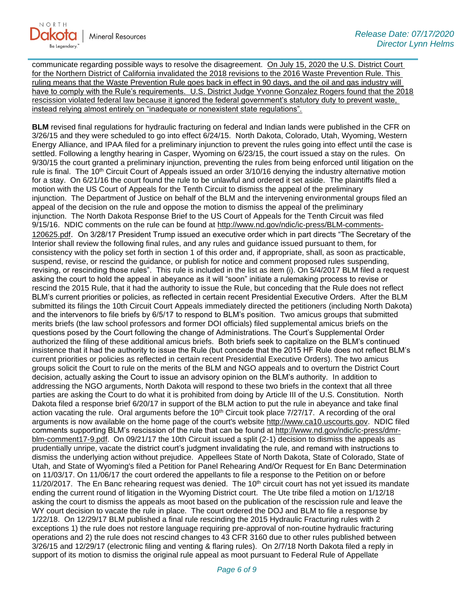

communicate regarding possible ways to resolve the disagreement. On July 15, 2020 the U.S. District Court for the Northern District of California invalidated the 2018 revisions to the 2016 Waste Prevention Rule. This ruling means that the Waste Prevention Rule goes back in effect in 90 days, and the oil and gas industry will have to comply with the Rule's requirements. U.S. District Judge Yvonne Gonzalez Rogers found that the 2018 rescission violated federal law because it ignored the federal government's statutory duty to prevent waste, instead relying almost entirely on "inadequate or nonexistent state regulations".

**BLM** revised final regulations for hydraulic fracturing on federal and Indian lands were published in the CFR on 3/26/15 and they were scheduled to go into effect 6/24/15. North Dakota, Colorado, Utah, Wyoming, Western Energy Alliance, and IPAA filed for a preliminary injunction to prevent the rules going into effect until the case is settled. Following a lengthy hearing in Casper, Wyoming on 6/23/15, the court issued a stay on the rules. On 9/30/15 the court granted a preliminary injunction, preventing the rules from being enforced until litigation on the rule is final. The 10<sup>th</sup> Circuit Court of Appeals issued an order 3/10/16 denying the industry alternative motion for a stay. On 6/21/16 the court found the rule to be unlawful and ordered it set aside. The plaintiffs filed a motion with the US Court of Appeals for the Tenth Circuit to dismiss the appeal of the preliminary injunction. The Department of Justice on behalf of the BLM and the intervening environmental groups filed an appeal of the decision on the rule and oppose the motion to dismiss the appeal of the preliminary injunction. The North Dakota Response Brief to the US Court of Appeals for the Tenth Circuit was filed 9/15/16. NDIC comments on the rule can be found at [http://www.nd.gov/ndic/ic-press/BLM-comments-](http://www.nd.gov/ndic/ic-press/BLM-comments-120625.pdf)[120625.pdf](http://www.nd.gov/ndic/ic-press/BLM-comments-120625.pdf). On 3/28/17 President Trump issued an executive order which in part directs "The Secretary of the Interior shall review the following final rules, and any rules and guidance issued pursuant to them, for consistency with the policy set forth in section 1 of this order and, if appropriate, shall, as soon as practicable, suspend, revise, or rescind the guidance, or publish for notice and comment proposed rules suspending, revising, or rescinding those rules". This rule is included in the list as item (i). On 5/4/2017 BLM filed a request asking the court to hold the appeal in abeyance as it will "soon" initiate a rulemaking process to revise or rescind the 2015 Rule, that it had the authority to issue the Rule, but conceding that the Rule does not reflect BLM's current priorities or policies, as reflected in certain recent Presidential Executive Orders. After the BLM submitted its filings the 10th Circuit Court Appeals immediately directed the petitioners (including North Dakota) and the intervenors to file briefs by 6/5/17 to respond to BLM's position. Two amicus groups that submitted merits briefs (the law school professors and former DOI officials) filed supplemental amicus briefs on the questions posed by the Court following the change of Administrations. The Court's Supplemental Order authorized the filing of these additional amicus briefs. Both briefs seek to capitalize on the BLM's continued insistence that it had the authority to issue the Rule (but concede that the 2015 HF Rule does not reflect BLM's current priorities or policies as reflected in certain recent Presidential Executive Orders). The two amicus groups solicit the Court to rule on the merits of the BLM and NGO appeals and to overturn the District Court decision, actually asking the Court to issue an advisory opinion on the BLM's authority. In addition to addressing the NGO arguments, North Dakota will respond to these two briefs in the context that all three parties are asking the Court to do what it is prohibited from doing by Article III of the U.S. Constitution. North Dakota filed a response brief 6/20/17 in support of the BLM action to put the rule in abeyance and take final action vacating the rule. Oral arguments before the 10<sup>th</sup> Circuit took place 7/27/17. A recording of the oral arguments is now available on the home page of the court's website [http://www.ca10.uscourts.gov.](https://urldefense.proofpoint.com/v2/url?u=http-3A__www.ca10.uscourts.gov&d=DwMGaQ&c=2s2mvbfY0UoSKkl6_Ol9wg&r=-wqsZnBxny594KY8HeElow&m=Ul_VtJUX6iW5pvHjCcBxUWtskC0F4Dhry3sPtcEHvCw&s=laRHiLDv5w8otcQWQjpn82WMieoB2AZ-Q4M1LFQPL5s&e=) NDIC filed comments supporting BLM's rescission of the rule that can be found at [http://www.nd.gov/ndic/ic-press/dmr](http://www.nd.gov/ndic/ic-press/dmr-blm-comment17-9.pdf)[blm-comment17-9.pdf.](http://www.nd.gov/ndic/ic-press/dmr-blm-comment17-9.pdf) On 09/21/17 the 10th Circuit issued a split (2-1) decision to dismiss the appeals as prudentially unripe, vacate the district court's judgment invalidating the rule, and remand with instructions to dismiss the underlying action without prejudice. Appellees State of North Dakota, State of Colorado, State of Utah, and State of Wyoming's filed a Petition for Panel Rehearing And/Or Request for En Banc Determination on 11/03/17. On 11/06/17 the court ordered the appellants to file a response to the Petition on or before 11/20/2017. The En Banc rehearing request was denied. The  $10<sup>th</sup>$  circuit court has not yet issued its mandate ending the current round of litigation in the Wyoming District court. The Ute tribe filed a motion on 1/12/18 asking the court to dismiss the appeals as moot based on the publication of the rescission rule and leave the WY court decision to vacate the rule in place. The court ordered the DOJ and BLM to file a response by 1/22/18. On 12/29/17 BLM published a final rule rescinding the 2015 Hydraulic Fracturing rules with 2 exceptions 1) the rule does not restore language requiring pre-approval of non-routine hydraulic fracturing operations and 2) the rule does not rescind changes to 43 CFR 3160 due to other rules published between 3/26/15 and 12/29/17 (electronic filing and venting & flaring rules). On 2/7/18 North Dakota filed a reply in support of its motion to dismiss the original rule appeal as moot pursuant to Federal Rule of Appellate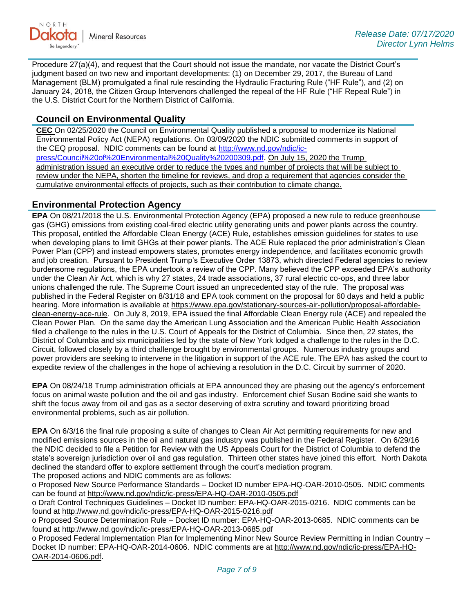

Procedure 27(a)(4), and request that the Court should not issue the mandate, nor vacate the District Court's judgment based on two new and important developments: (1) on December 29, 2017, the Bureau of Land Management (BLM) promulgated a final rule rescinding the Hydraulic Fracturing Rule ("HF Rule"), and (2) on January 24, 2018, the Citizen Group Intervenors challenged the repeal of the HF Rule ("HF Repeal Rule") in the U.S. District Court for the Northern District of California.

## **Council on Environmental Quality**

**CEC** On 02/25/2020 the Council on Environmental Quality published a proposal to modernize its National Environmental Policy Act (NEPA) regulations. On 03/09/2020 the NDIC submitted comments in support of the CEQ proposal. NDIC comments can be found at [http://www.nd.gov/ndic/ic](http://www.nd.gov/ndic/ic-press/Council%20of%20Environmental%20Quality%20200309.pdf)[press/Council%20of%20Environmental%20Quality%20200309.pdf](http://www.nd.gov/ndic/ic-press/Council%20of%20Environmental%20Quality%20200309.pdf). On July 15, 2020 the Trump administration issued an executive order to reduce the types and number of projects that will be subject to review under the NEPA, shorten the timeline for reviews, and drop a requirement that agencies consider the cumulative environmental effects of projects, such as their contribution to climate change.

### **Environmental Protection Agency**

**EPA** On 08/21/2018 the U.S. Environmental Protection Agency (EPA) proposed a new rule to reduce greenhouse gas (GHG) emissions from existing coal-fired electric utility generating units and power plants across the country. This proposal, entitled the Affordable Clean Energy (ACE) Rule, establishes emission guidelines for states to use when developing plans to limit GHGs at their power plants. The ACE Rule replaced the prior administration's Clean Power Plan (CPP) and instead empowers states, promotes energy independence, and facilitates economic growth and job creation. Pursuant to President Trump's Executive Order 13873, which directed Federal agencies to review burdensome regulations, the EPA undertook a review of the CPP. Many believed the CPP exceeded EPA's authority under the Clean Air Act, which is why 27 states, 24 trade associations, 37 rural electric co-ops, and three labor unions challenged the rule. The Supreme Court issued an unprecedented stay of the rule. The proposal was published in the Federal Register on 8/31/18 and EPA took comment on the proposal for 60 days and held a public hearing. More information is available at [https://www.epa.gov/stationary-sources-air-pollution/proposal-affordable](https://www.epa.gov/stationary-sources-air-pollution/proposal-affordable-clean-energy-ace-rule)[clean-energy-ace-rule.](https://www.epa.gov/stationary-sources-air-pollution/proposal-affordable-clean-energy-ace-rule) On July 8, 2019, EPA issued the final Affordable Clean Energy rule (ACE) and repealed the Clean Power Plan. On the same day the American Lung Association and the American Public Health Association filed a challenge to the rules in the U.S. Court of Appeals for the District of Columbia. Since then, 22 states, the District of Columbia and six municipalities led by the state of New York lodged a challenge to the rules in the D.C. Circuit, followed closely by a third challenge brought by environmental groups. Numerous industry groups and power providers are seeking to intervene in the litigation in support of the ACE rule. The EPA has asked the court to expedite review of the challenges in the hope of achieving a resolution in the D.C. Circuit by summer of 2020.

**EPA** On 08/24/18 Trump administration officials at EPA announced they are phasing out the agency's enforcement focus on animal waste pollution and the oil and gas industry. Enforcement chief Susan Bodine said she wants to shift the focus away from oil and gas as a sector deserving of extra scrutiny and toward prioritizing broad environmental problems, such as air pollution.

**EPA** On 6/3/16 the final rule proposing a suite of changes to Clean Air Act permitting requirements for new and modified emissions sources in the oil and natural gas industry was published in the Federal Register. On 6/29/16 the NDIC decided to file a Petition for Review with the US Appeals Court for the District of Columbia to defend the state's sovereign jurisdiction over oil and gas regulation. Thirteen other states have joined this effort. North Dakota declined the standard offer to explore settlement through the court's mediation program. The proposed actions and NDIC comments are as follows:

o Proposed New Source Performance Standards – Docket ID number EPA-HQ-OAR-2010-0505. NDIC comments can be found at<http://www.nd.gov/ndic/ic-press/EPA-HQ-OAR-2010-0505.pdf>

o Draft Control Techniques Guidelines – Docket ID number: EPA-HQ-OAR-2015-0216. NDIC comments can be found at<http://www.nd.gov/ndic/ic-press/EPA-HQ-OAR-2015-0216.pdf>

o Proposed Source Determination Rule – Docket ID number: EPA-HQ-OAR-2013-0685. NDIC comments can be found at<http://www.nd.gov/ndic/ic-press/EPA-HQ-OAR-2013-0685.pdf>

o Proposed Federal Implementation Plan for Implementing Minor New Source Review Permitting in Indian Country – Docket ID number: EPA-HQ-OAR-2014-0606. NDIC comments are at [http://www.nd.gov/ndic/ic-press/EPA-HQ-](http://www.nd.gov/ndic/ic-press/EPA-HQ-OAR-2014-0606.pdf)[OAR-2014-0606.pdf](http://www.nd.gov/ndic/ic-press/EPA-HQ-OAR-2014-0606.pdf).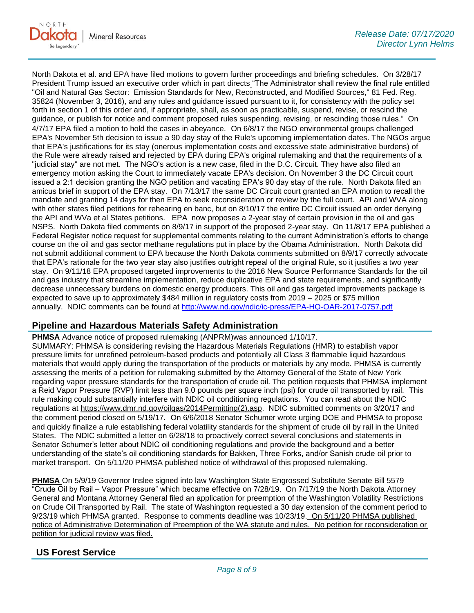North Dakota et al. and EPA have filed motions to govern further proceedings and briefing schedules. On 3/28/17 President Trump issued an executive order which in part directs "The Administrator shall review the final rule entitled "Oil and Natural Gas Sector: Emission Standards for New, Reconstructed, and Modified Sources," 81 Fed. Reg. 35824 (November 3, 2016), and any rules and guidance issued pursuant to it, for consistency with the policy set forth in section 1 of this order and, if appropriate, shall, as soon as practicable, suspend, revise, or rescind the guidance, or publish for notice and comment proposed rules suspending, revising, or rescinding those rules." On 4/7/17 EPA filed a motion to hold the cases in abeyance. On 6/8/17 the NGO environmental groups challenged EPA's November 5th decision to issue a 90 day stay of the Rule's upcoming implementation dates. The NGOs argue that EPA's justifications for its stay (onerous implementation costs and excessive state administrative burdens) of the Rule were already raised and rejected by EPA during EPA's original rulemaking and that the requirements of a "judicial stay" are not met. The NGO's action is a new case, filed in the D.C. Circuit. They have also filed an emergency motion asking the Court to immediately vacate EPA's decision. On November 3 the DC Circuit court issued a 2:1 decision granting the NGO petition and vacating EPA's 90 day stay of the rule. North Dakota filed an amicus brief in support of the EPA stay. On 7/13/17 the same DC Circuit court granted an EPA motion to recall the mandate and granting 14 days for then EPA to seek reconsideration or review by the full court. API and WVA along with other states filed petitions for rehearing en banc, but on 8/10/17 the entire DC Circuit issued an order denying the API and WVa et al States petitions. EPA now proposes a 2-year stay of certain provision in the oil and gas NSPS. North Dakota filed comments on 8/9/17 in support of the proposed 2-year stay. On 11/8/17 EPA published a Federal Register notice request for supplemental comments relating to the current Administration's efforts to change course on the oil and gas sector methane regulations put in place by the Obama Administration. North Dakota did not submit additional comment to EPA because the North Dakota comments submitted on 8/9/17 correctly advocate that EPA's rationale for the two year stay also justifies outright repeal of the original Rule, so it justifies a two year stay. On 9/11/18 EPA proposed targeted improvements to the 2016 New Source Performance Standards for the oil and gas industry that streamline implementation, reduce duplicative EPA and state requirements, and significantly decrease unnecessary burdens on domestic energy producers. This oil and gas targeted improvements package is expected to save up to approximately \$484 million in regulatory costs from 2019 – 2025 or \$75 million annually. NDIC comments can be found at<http://www.nd.gov/ndic/ic-press/EPA-HQ-OAR-2017-0757.pdf>

# **Pipeline and Hazardous Materials Safety Administration**

**PHMSA** Advance notice of proposed rulemaking (ANPRM)was announced 1/10/17. SUMMARY: PHMSA is considering revising the Hazardous Materials Regulations (HMR) to establish vapor pressure limits for unrefined petroleum-based products and potentially all Class 3 flammable liquid hazardous materials that would apply during the transportation of the products or materials by any mode. PHMSA is currently assessing the merits of a petition for rulemaking submitted by the Attorney General of the State of New York regarding vapor pressure standards for the transportation of crude oil. The petition requests that PHMSA implement a Reid Vapor Pressure (RVP) limit less than 9.0 pounds per square inch (psi) for crude oil transported by rail. This rule making could substantially interfere with NDIC oil conditioning regulations. You can read about the NDIC regulations at [https://www.dmr.nd.gov/oilgas/2014Permitting\(2\).asp.](https://www.dmr.nd.gov/oilgas/2014Permitting(2).asp) NDIC submitted comments on 3/20/17 and the comment period closed on 5/19/17. On 6/6/2018 Senator Schumer wrote urging DOE and PHMSA to propose and quickly finalize a rule establishing federal volatility standards for the shipment of crude oil by rail in the United States. The NDIC submitted a letter on 6/28/18 to proactively correct several conclusions and statements in Senator Schumer's letter about NDIC oil conditioning regulations and provide the background and a better understanding of the state's oil conditioning standards for Bakken, Three Forks, and/or Sanish crude oil prior to market transport. On 5/11/20 PHMSA published notice of withdrawal of this proposed rulemaking.

**PHMSA** On 5/9/19 Governor Inslee signed into law Washington State Engrossed Substitute Senate Bill 5579 "Crude Oil by Rail – Vapor Pressure" which became effective on 7/28/19. On 7/17/19 the North Dakota Attorney General and Montana Attorney General filed an application for preemption of the Washington Volatility Restrictions on Crude Oil Transported by Rail. The state of Washington requested a 30 day extension of the comment period to 9/23/19 which PHMSA granted. Response to comments deadline was 10/23/19. On 5/11/20 PHMSA published notice of Administrative Determination of Preemption of the WA statute and rules. No petition for reconsideration or petition for judicial review was filed.

# **US Forest Service**